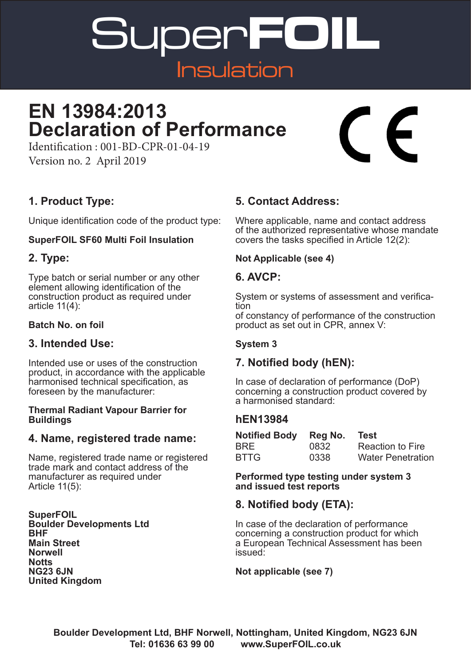Super**FOIL** Insulation

## **EN 13984:2013 Declaration of Performance**

#### **1. Product Type:**

Version no. 2 April 2019

Unique identification code of the product type:

Identification : 001-BD-CPR-01-04-19

#### **SuperFOIL SF60 Multi Foil Insulation**

#### **2. Type:**

Type batch or serial number or any other element allowing identification of the construction product as required under article 11(4):

#### **Batch No. on foil**

#### **3. Intended Use:**

Intended use or uses of the construction product, in accordance with the applicable harmonised technical specification, as foreseen by the manufacturer:

#### **Thermal Radiant Vapour Barrier for Buildings**

#### **4. Name, registered trade name:**

Name, registered trade name or registered trade mark and contact address of the manufacturer as required under Article 11(5):

**SuperFOIL Boulder Developments Ltd BHF Main Street Norwell Notts NG23 6JN United Kingdom**

#### **5. Contact Address:**

Where applicable, name and contact address of the authorized representative whose mandate covers the tasks specified in Article 12(2):

#### **Not Applicable (see 4)**

#### **6. AVCP:**

System or systems of assessment and verifica- tion of constancy of performance of the construction

product as set out in CPR, annex V:

#### **System 3**

#### **7. Notified body (hEN):**

In case of declaration of performance (DoP) concerning a construction product covered by a harmonised standard:

#### **hEN13984**

| <b>Notified Body</b> | Reg No. | Test                     |
|----------------------|---------|--------------------------|
| <b>BRE</b>           | 0832    | <b>Reaction to Fire</b>  |
| <b>BTTG</b>          | 0338    | <b>Water Penetration</b> |

**Performed type testing under system 3 and issued test reports**

#### **8. Notified body (ETA):**

In case of the declaration of performance concerning a construction product for which a European Technical Assessment has been issued:

#### **Not applicable (see 7)**